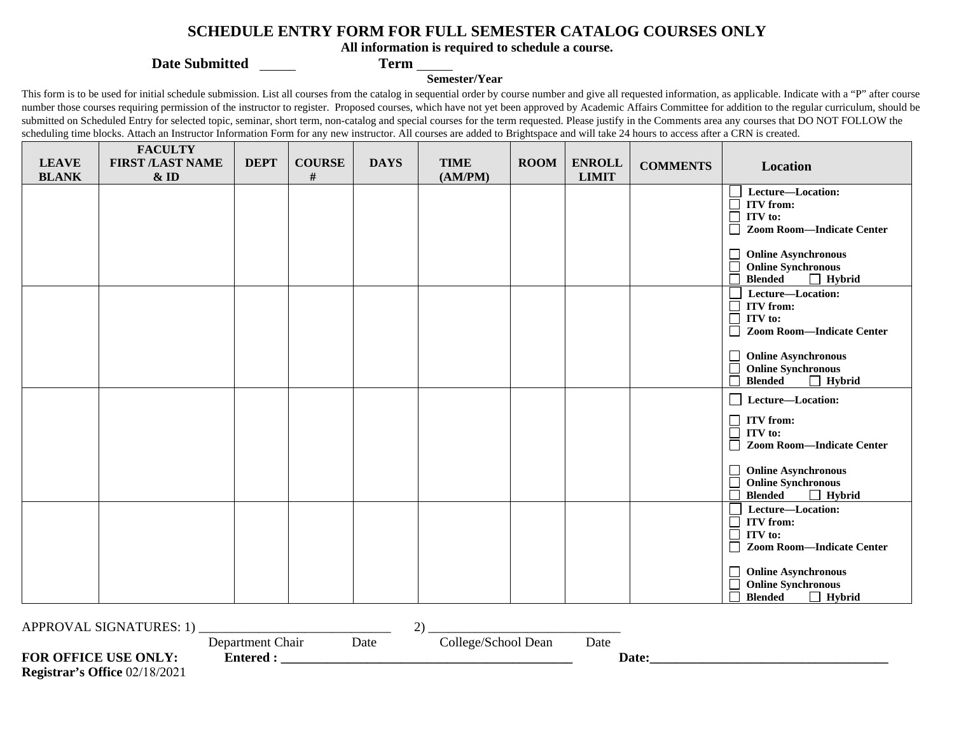## **SCHEDULE ENTRY FORM FOR FULL SEMESTER CATALOG COURSES ONLY**

**All information is required to schedule a course.** 

**Date Submitted Term** 

## **Semester/Year**

This form is to be used for initial schedule submission. List all courses from the catalog in sequential order by course number and give all requested information, as applicable. Indicate with a "P" after course number those courses requiring permission of the instructor to register. Proposed courses, which have not yet been approved by Academic Affairs Committee for addition to the regular curriculum, should be submitted on Scheduled Entry for selected topic, seminar, short term, non-catalog and special courses for the term requested. Please justify in the Comments area any courses that DO NOT FOLLOW the scheduling time blocks. Attach an Instructor Information Form for any new instructor. All courses are added to Brightspace and will take 24 hours to access after a CRN is created.

| <b>LEAVE</b> | <b>FACULTY</b><br><b>FIRST /LAST NAME</b> | <b>DEPT</b> | <b>COURSE</b> | <b>DAYS</b> | <b>TIME</b> | <b>ROOM</b> | <b>ENROLL</b> | <b>COMMENTS</b> | Location                                    |  |
|--------------|-------------------------------------------|-------------|---------------|-------------|-------------|-------------|---------------|-----------------|---------------------------------------------|--|
| <b>BLANK</b> | $&$ ID                                    |             | $\#$          |             | (AM/PM)     |             | <b>LIMIT</b>  |                 |                                             |  |
|              |                                           |             |               |             |             |             |               |                 | Lecture-Location:                           |  |
|              |                                           |             |               |             |             |             |               |                 | <b>ITV</b> from:<br>ITV to:                 |  |
|              |                                           |             |               |             |             |             |               |                 | <b>Zoom Room-Indicate Center</b>            |  |
|              |                                           |             |               |             |             |             |               |                 |                                             |  |
|              |                                           |             |               |             |             |             |               |                 | <b>Online Asynchronous</b><br>⊔             |  |
|              |                                           |             |               |             |             |             |               |                 | <b>Online Synchronous</b>                   |  |
|              |                                           |             |               |             |             |             |               |                 | $\Box$ Hybrid<br><b>Blended</b>             |  |
|              |                                           |             |               |             |             |             |               |                 | Lecture-Location:                           |  |
|              |                                           |             |               |             |             |             |               |                 | Ď<br><b>ITV</b> from:<br>Ď<br>ITV to:       |  |
|              |                                           |             |               |             |             |             |               |                 | <b>Zoom Room-Indicate Center</b>            |  |
|              |                                           |             |               |             |             |             |               |                 |                                             |  |
|              |                                           |             |               |             |             |             |               |                 | <b>Online Asynchronous</b>                  |  |
|              |                                           |             |               |             |             |             |               |                 | <b>Online Synchronous</b>                   |  |
|              |                                           |             |               |             |             |             |               |                 | <b>Blended</b><br>$\Box$ Hybrid             |  |
|              |                                           |             |               |             |             |             |               |                 | Lecture-Location:                           |  |
|              |                                           |             |               |             |             |             |               |                 | <b>ITV</b> from:<br>$\Box$                  |  |
|              |                                           |             |               |             |             |             |               |                 | Ē<br>ITV to:                                |  |
|              |                                           |             |               |             |             |             |               |                 | <b>Zoom Room-Indicate Center</b>            |  |
|              |                                           |             |               |             |             |             |               |                 | <b>Online Asynchronous</b><br>$\Box$        |  |
|              |                                           |             |               |             |             |             |               |                 | <b>Online Synchronous</b>                   |  |
|              |                                           |             |               |             |             |             |               |                 | $\Box$ Hybrid<br><b>Blended</b>             |  |
|              |                                           |             |               |             |             |             |               |                 | Lecture-Location:                           |  |
|              |                                           |             |               |             |             |             |               |                 | $\Box$<br><b>ITV</b> from:                  |  |
|              |                                           |             |               |             |             |             |               |                 | ITV to:<br><b>Zoom Room-Indicate Center</b> |  |
|              |                                           |             |               |             |             |             |               |                 |                                             |  |
|              |                                           |             |               |             |             |             |               |                 | <b>Online Asynchronous</b>                  |  |
|              |                                           |             |               |             |             |             |               |                 | <b>Online Synchronous</b>                   |  |
|              |                                           |             |               |             |             |             |               |                 | <b>Blended</b><br>$\Box$ Hybrid             |  |
|              |                                           |             |               |             |             |             |               |                 |                                             |  |
|              | <b>APPROVAL SIGNATURES: 1)</b><br>2)      |             |               |             |             |             |               |                 |                                             |  |

Department Chair Date College/School Dean Date

**FOR OFFICE USE ONLY: Entered : \_\_\_\_\_\_\_\_\_\_\_\_\_\_\_\_\_\_\_\_\_\_\_\_\_\_\_\_\_\_\_\_\_\_\_\_\_\_\_\_\_\_\_\_ Date:\_\_\_\_\_\_\_\_\_\_\_\_\_\_\_\_\_\_\_\_\_\_\_\_\_\_\_\_\_\_\_\_\_\_\_\_ Registrar's Office** 02/18/2021